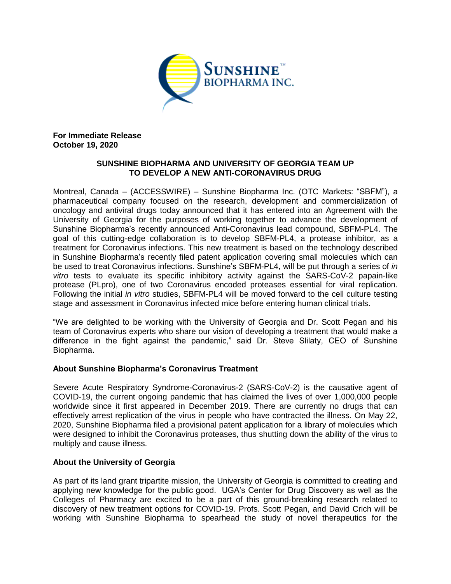

**For Immediate Release October 19, 2020**

# **SUNSHINE BIOPHARMA AND UNIVERSITY OF GEORGIA TEAM UP TO DEVELOP A NEW ANTI-CORONAVIRUS DRUG**

Montreal, Canada – (ACCESSWIRE) – Sunshine Biopharma Inc. (OTC Markets: "SBFM"), a pharmaceutical company focused on the research, development and commercialization of oncology and antiviral drugs today announced that it has entered into an Agreement with the University of Georgia for the purposes of working together to advance the development of Sunshine Biopharma's recently announced Anti-Coronavirus lead compound, SBFM-PL4. The goal of this cutting-edge collaboration is to develop SBFM-PL4, a protease inhibitor, as a treatment for Coronavirus infections. This new treatment is based on the technology described in Sunshine Biopharma's recently filed patent application covering small molecules which can be used to treat Coronavirus infections. Sunshine's SBFM-PL4, will be put through a series of *in vitro* tests to evaluate its specific inhibitory activity against the SARS-CoV-2 papain-like protease (PLpro), one of two Coronavirus encoded proteases essential for viral replication. Following the initial *in vitro* studies, SBFM-PL4 will be moved forward to the cell culture testing stage and assessment in Coronavirus infected mice before entering human clinical trials.

"We are delighted to be working with the University of Georgia and Dr. Scott Pegan and his team of Coronavirus experts who share our vision of developing a treatment that would make a difference in the fight against the pandemic," said Dr. Steve Slilaty, CEO of Sunshine Biopharma.

# **About Sunshine Biopharma's Coronavirus Treatment**

Severe Acute Respiratory Syndrome-Coronavirus-2 (SARS-CoV-2) is the causative agent of COVID-19, the current ongoing pandemic that has claimed the lives of over 1,000,000 people worldwide since it first appeared in December 2019. There are currently no drugs that can effectively arrest replication of the virus in people who have contracted the illness. On May 22, 2020, Sunshine Biopharma filed a provisional patent application for a library of molecules which were designed to inhibit the Coronavirus proteases, thus shutting down the ability of the virus to multiply and cause illness.

# **About the University of Georgia**

As part of its land grant tripartite mission, the University of Georgia is committed to creating and applying new knowledge for the public good. UGA's Center for Drug Discovery as well as the Colleges of Pharmacy are excited to be a part of this ground-breaking research related to discovery of new treatment options for COVID-19. Profs. Scott Pegan, and David Crich will be working with Sunshine Biopharma to spearhead the study of novel therapeutics for the